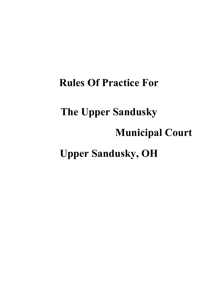# **Rules Of Practice For The Upper Sandusky Municipal Court Upper Sandusky, OH**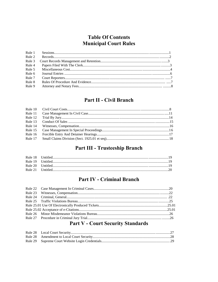# **Table Of Contents Municipal Court Rules**

# **Part II - Civil Branch**

| Rule 11 |  |
|---------|--|
| Rule 12 |  |
| Rule 13 |  |
| Rule 14 |  |
|         |  |
| Rule 16 |  |
|         |  |
|         |  |

# Part III - Trusteeship Branch

# **Part IV - Criminal Branch**

| 이 아이들은 그 사람들은 아이들은 아이들은 아이들은 아이들은 아이들의 사람들을 만들어 보이는 것이다. 이 사람들은 아이들은 아이들의 사람들은 아이들의 사람들을 만들어 있다. |  |
|--------------------------------------------------------------------------------------------------|--|

# **Part V - Court Security Standards**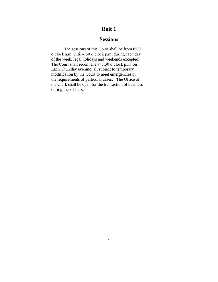### **Sessions**

 The sessions of this Court shall be from 8:00 o'clock a.m. until 4:30 o'clock p.m. during each day of the week, legal holidays and weekends excepted. The Court shall reconvene at 7:30 o'clock p.m. on Each Thursday evening, all subject to temporary modification by the Court to meet emergencies or the requirements of particular cases. The Office of the Clerk shall be open for the transaction of business during these hours.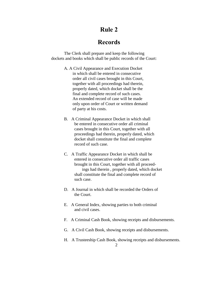# **Records**

 The Clerk shall prepare and keep the following dockets and books which shall be public records of the Court:

- A. A Civil Appearance and Execution Docket in which shall be entered in consecutive order all civil cases brought in this Court, together with all proceedings had therein, properly dated, which docket shall be the final and complete record of such cases. An extended record of case will be made only upon order of Court or written demand of party at his costs.
- B. A Criminal Appearance Docket in which shall be entered in consecutive order all criminal cases brought in this Court, together with all proceedings had therein, properly dated, which docket shall constitute the final and complete record of such case.
- C. A Traffic Appearance Docket in which shall be entered in consecutive order all traffic cases brought in this Court, together with all proceed ings had therein , properly dated, which docket shall constitute the final and complete record of such case.
- D. A Journal in which shall be recorded the Orders of the Court.
- E. A General Index, showing parties to both criminal and civil cases.
- F. A Criminal Cash Book, showing receipts and disbursements.
- G. A Civil Cash Book, showing receipts and disbursements.
- H. A Trusteeship Cash Book, showing receipts and disbursements.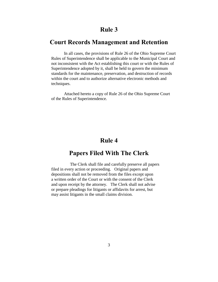# **Court Records Management and Retention**

In all cases, the provisions of Rule 26 of the Ohio Supreme Court Rules of Superintendence shall be applicable to the Municipal Court and not inconsistent with the Act establishing this court or with the Rules of Superintendence adopted by it, shall be held to govern the minimum standards for the maintenance, preservation, and destruction of records within the court and to authorize alternative electronic methods and techniques.

Attached hereto a copy of Rule 26 of the Ohio Supreme Court of the Rules of Superintendence.

# **Rule 4**

# **Papers Filed With The Clerk**

 The Clerk shall file and carefully preserve all papers filed in every action or proceeding. Original papers and depositions shall not be removed from the files except upon a written order of the Court or with the consent of the Clerk and upon receipt by the attorney. The Clerk shall not advise or prepare pleadings for litigants or affidavits for arrest, but may assist litigants in the small claims division.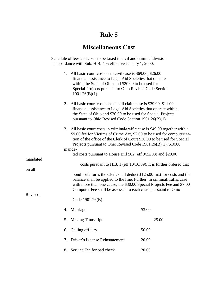# **Miscellaneous Cost**

Schedule of fees and costs to be taxed in civil and criminal division in accordance with Sub. H.B. 405 effective January 1, 2000.

|          | 1. All basic court costs on a civil case is \$69.00, \$26.00<br>financial assistance to Legal Aid Societies that operate<br>within the State of Ohio and \$20.00 to be used for<br>Special Projects pursuant to Ohio Revised Code Section<br>$1901.26(B)(1)$ .                                         |                                                                                                                                                                                                                                                                                               |  |  |  |
|----------|--------------------------------------------------------------------------------------------------------------------------------------------------------------------------------------------------------------------------------------------------------------------------------------------------------|-----------------------------------------------------------------------------------------------------------------------------------------------------------------------------------------------------------------------------------------------------------------------------------------------|--|--|--|
|          | All basic court costs on a small claim case is \$39.00, \$11.00<br>2.<br>financial assistance to Legal Aid Societies that operate within<br>the State of Ohio and \$20.00 to be used for Special Projects<br>pursuant to Ohio Revised Code Section 1901.26(B)(1).                                      |                                                                                                                                                                                                                                                                                               |  |  |  |
|          | All basic court costs in criminal/traffic case is \$49.00 together with a<br>3.<br>\$9.00 fee for Victims of Crime Act, \$7.00 to be used for computeriza-<br>tion of the office of the Clerk of Court \$30.00 to be used for Special<br>Projects pursuant to Ohio Revised Code 1901.26(B)(1), \$10.00 |                                                                                                                                                                                                                                                                                               |  |  |  |
|          | manda-                                                                                                                                                                                                                                                                                                 |                                                                                                                                                                                                                                                                                               |  |  |  |
|          | ted costs pursuant to House Bill 562 (eff 9/22/08) and \$20.00                                                                                                                                                                                                                                         |                                                                                                                                                                                                                                                                                               |  |  |  |
| mandated |                                                                                                                                                                                                                                                                                                        |                                                                                                                                                                                                                                                                                               |  |  |  |
|          |                                                                                                                                                                                                                                                                                                        | costs pursuant to H.B. 1 (eff 10/16/09). It is further ordered that                                                                                                                                                                                                                           |  |  |  |
| on all   |                                                                                                                                                                                                                                                                                                        |                                                                                                                                                                                                                                                                                               |  |  |  |
|          |                                                                                                                                                                                                                                                                                                        | bond forfeitures the Clerk shall deduct \$125.00 first for costs and the<br>balance shall be applied to the fine. Further, in criminal/traffic case<br>with more than one cause, the \$30.00 Special Projects Fee and \$7.00<br>Computer Fee shall be assessed to each cause pursuant to Ohio |  |  |  |
| Revised  | Code 1901.26(B).                                                                                                                                                                                                                                                                                       |                                                                                                                                                                                                                                                                                               |  |  |  |
|          | 4. Marriage                                                                                                                                                                                                                                                                                            | \$3.00                                                                                                                                                                                                                                                                                        |  |  |  |
|          | <b>Making Transcript</b><br>5.                                                                                                                                                                                                                                                                         | 25.00                                                                                                                                                                                                                                                                                         |  |  |  |
|          | Calling off jury<br>6.                                                                                                                                                                                                                                                                                 | 50.00                                                                                                                                                                                                                                                                                         |  |  |  |
|          | Driver's License Reinstatement<br>7.                                                                                                                                                                                                                                                                   | 20.00                                                                                                                                                                                                                                                                                         |  |  |  |
|          | Service Fee for bad check<br>8.                                                                                                                                                                                                                                                                        | 20.00                                                                                                                                                                                                                                                                                         |  |  |  |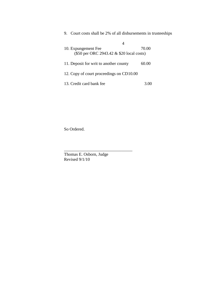| 9. Court costs shall be 2% of all disbursements in trusteeships |       |
|-----------------------------------------------------------------|-------|
| 4                                                               |       |
| 10. Expungement Fee                                             | 70.00 |
| (\$50 per ORC 2943.42 & \$20 local costs)                       |       |
|                                                                 |       |
| 11. Deposit for writ to another county                          | 60.00 |
|                                                                 |       |
| 12. Copy of court proceedings on CD10.00                        |       |
|                                                                 |       |
| 13. Credit card bank fee                                        |       |

So Ordered.

Thomas E. Osborn, Judge Revised 9/1/10

\_\_\_\_\_\_\_\_\_\_\_\_\_\_\_\_\_\_\_\_\_\_\_\_\_\_\_\_\_\_\_\_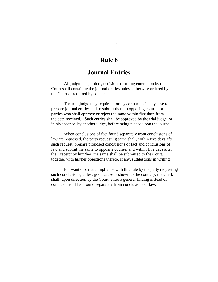# **Journal Entries**

All judgments, orders, decisions or ruling entered on by the Court shall constitute the journal entries unless otherwise ordered by the Court or required by counsel.

The trial judge may require attorneys or parties in any case to prepare journal entries and to submit them to opposing counsel or parties who shall approve or reject the same within five days from the date received. Such entries shall be approved by the trial judge, or, in his absence, by another judge, before being placed upon the journal.

When conclusions of fact found separately from conclusions of law are requested, the party requesting same shall, within five days after such request, prepare proposed conclusions of fact and conclusions of law and submit the same to opposite counsel and within five days after their receipt by him/her, the same shall be submitted to the Court, together with his/her objections thereto, if any, suggestions in writing.

For want of strict compliance with this rule by the party requesting such conclusions, unless good cause is shown to the contrary, the Clerk shall, upon direction by the Court, enter a general finding instead of conclusions of fact found separately from conclusions of law.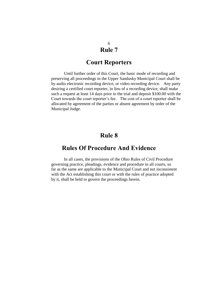# **Court Reporters**

Until further order of this Court, the basic mode of recording and preserving all proceedings in the Upper Sandusky Municipal Court shall be by audio electronic recording device, or video recording device. Any party desiring a certified court reporter, in lieu of a recording device, shall make such a request at least 14 days prior to the trial and deposit \$100.00 with the Court towards the court reporter's fee. The cost of a court reporter shall be allocated by agreement of the parties or absent agreement by order of the Municipal Judge.

# **Rule 8**

# **Rules Of Procedure And Evidence**

In all cases, the provisions of the Ohio Rules of Civil Procedure governing practice, pleadings, evidence and procedure in all courts, so far as the same are applicable to the Municipal Court and not inconsistent with the Act establishing this court or with the rules of practice adopted by it, shall be held to govern the proceedings herein.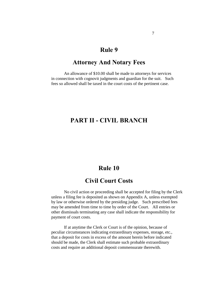### **Attorney And Notary Fees**

An allowance of \$10.00 shall be made to attorneys for services in connection with cognovit judgments and guardian for the suit. Such fees so allowed shall be taxed in the court costs of the pertinent case.

# **PART II - CIVIL BRANCH**

# **Rule 10**

# **Civil Court Costs**

No civil action or proceeding shall be accepted for filing by the Clerk unless a filing fee is deposited as shown on Appendix A, unless exempted by law or otherwise ordered by the presiding judge. Such prescribed fees may be amended from time to time by order of the Court. All entries or other dismissals terminating any case shall indicate the responsibility for payment of court costs.

If at anytime the Clerk or Court is of the opinion, because of peculiar circumstances indicating extraordinary expenses, storage, etc., that a deposit for costs in excess of the amount herein before indicated should be made, the Clerk shall estimate such probable extraordinary costs and require an additional deposit commensurate therewith.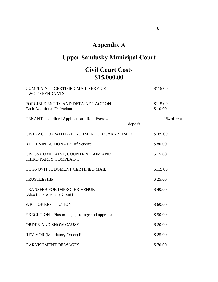# **Appendix A**

# **Upper Sandusky Municipal Court**

# **Civil Court Costs \$15,000.00**

| <b>COMPLAINT - CERTIFIED MAIL SERVICE</b><br><b>TWO DEFENDANTS</b>     |         | \$115.00            |
|------------------------------------------------------------------------|---------|---------------------|
| FORCIBLE ENTRY AND DETAINER ACTION<br><b>Each Additional Defendant</b> |         | \$115.00<br>\$10.00 |
| TENANT - Landlord Application - Rent Escrow                            | deposit | 1% of rent          |
| CIVIL ACTION WITH ATTACHMENT OR GARNISHMENT                            |         | \$185.00            |
| <b>REPLEVIN ACTION - Bailiff Service</b>                               |         | \$80.00             |
| CROSS COMPLAINT, COUNTERCLAIM AND<br>THIRD PARTY COMPLAINT             |         | \$15.00             |
| COGNOVIT JUDGMENT CERTIFIED MAIL                                       |         | \$115.00            |
| <b>TRUSTEESHIP</b>                                                     |         | \$25.00             |
| <b>TRANSFER FOR IMPROPER VENUE</b><br>(Also transfer to any Court)     |         | \$40.00             |
| <b>WRIT OF RESTITUTION</b>                                             |         | \$60.00             |
| EXECUTION - Plus mileage, storage and appraisal                        |         | \$50.00             |
| <b>ORDER AND SHOW CAUSE</b>                                            |         | \$20.00             |
| <b>REVIVOR</b> (Mandatory Order) Each                                  |         | \$25.00             |
| <b>GARNISHMENT OF WAGES</b>                                            |         | \$70.00             |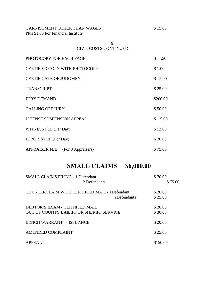GARNISHMENT OTHER THAN WAGES Plus \$1.00 For Financial Institute

| \$ |  | 15.00 |
|----|--|-------|
|    |  |       |

 9 CIVIL COSTS CONTINUED

| PHOTOCOPY FOR EACH PAGE                 | \$<br>.50 |
|-----------------------------------------|-----------|
| CERTIFIED COPY WITH PHOTOCOPY           | \$1.00    |
| <b>CERTIFICATE OF JUDGMENT</b>          | \$5.00    |
| <b>TRANSCRIPT</b>                       | \$25.00   |
| <b>JURY DEMAND</b>                      | \$200.00  |
| <b>CALLING OFF JURY</b>                 | \$50.00   |
| <b>LICENSE SUSPENSION APPEAL</b>        | \$115.00  |
| WITNESS FEE (Per Day)                   | \$12.00   |
| <b>JUROR'S FEE (Per Day)</b>            | \$20.00   |
| <b>APPRAISER FEE</b> (For 3 Appraisers) | \$75.00   |

# **SMALL CLAIMS \$6,000.00**

| <b>SMALL CLAIMS FILING - 1 Defendant</b>             | \$70.00  |
|------------------------------------------------------|----------|
| 2 Defendants                                         | \$75.00  |
| <b>COUNTERCLAIM WITH CERTIFIED MAIL - 1Defendant</b> | \$20.00  |
| 2Defendants                                          | \$25.00  |
| DEBTOR'S EXAM - CERTIFIED MAIL                       | \$20.00  |
| OUT OF COUNTY BAILIFF OR SHERIFF SERVICE             | \$30.00  |
| <b>BENCH WARRANT - ISSUANCE</b>                      | \$20.00  |
| AMENDED COMPLAINT                                    | \$25.00  |
| <b>APPEAL</b>                                        | \$150.00 |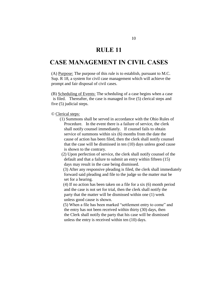# **RULE 11**

# **CASE MANAGEMENT IN CIVIL CASES**

(A) Purpose: The purpose of this rule is to establish, pursuant to M.C. Sup. R 18, a system for civil case management which will achieve the prompt and fair disposal of civil cases.

(B) Scheduling of Events: The scheduling of a case begins when a case is filed. Thereafter, the case is managed in five (5) clerical steps and five (5) judicial steps.

#### © Clerical steps:

 (1) Summons shall be served in accordance with the Ohio Rules of Procedure. In the event there is a failure of service, the clerk shall notify counsel immediately. If counsel fails to obtain service of summons within six (6) months from the date the cause of action has been filed, then the clerk shall notify counsel that the case will be dismissed in ten (10) days unless good cause is shown to the contrary.

 (2) Upon perfection of service, the clerk shall notify counsel of the default and that a failure to submit an entry within fifteen (15) days may result in the case being dismissed.

 (3) After any responsive pleading is filed, the clerk shall immediately forward said pleading and file to the judge so the matter mat be set for a hearing.

 (4) If no action has been taken on a file for a six (6) month period and the case is not set for trial, then the clerk shall notify the party that the matter will be dismissed within one (1) week unless good cause is shown.

 (5) When a file has been marked "settlement entry to come" and the entry has not been received within thirty (30) days, then the Clerk shall notify the party that his case will be dismissed unless the entry is received within ten (10) days.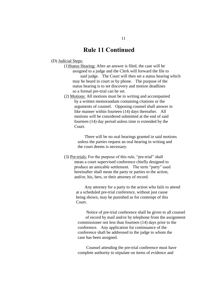# **Rule 11 Continued**

- (D) Judicial Steps:
	- (1)Status Hearing: After an answer is filed, the case will be assigned to a judge and the Clerk will forward the file to said judge. The Court will then set a status hearing which may be heard in court or by phone. The purpose of the status hearing is to set discovery and motion deadlines so a formal pre-trial can be set.
	- (2) Motions: All motions must be in writing and accompanied by a written memorandum containing citations or the arguments of counsel. Opposing counsel shall answer in like manner within fourteen (14) days thereafter. All motions will be considered submitted at the end of said fourteen (14) day period unless time is extended by the Court.

 There will be no oral hearings granted in said motions unless the parties request an oral hearing in writing and the court deems is necessary.

(3) Pre-trials: For the purpose of this rule, "pre-trial" shall mean a court supervised conference chiefly designed to produce an amicable settlement. The term "party" used hereinafter shall mean the party or parties to the action, and/or, his, hers, or their attorney of record.

> Any attorney for a party to the action who fails to attend at a scheduled pre-trial conference, without just cause being shown, may be punished as for contempt of this Court.

 Notice of pre-trial conference shall be given to all counsel of record by mail and/or by telephone from the assignment commissioner not less than fourteen (14) days prior to the conference. Any application for continuance of the conference shall be addressed to the judge to whom the case has been assigned.

 Counsel attending the pre-trial conference must have complete authority to stipulate on items of evidence and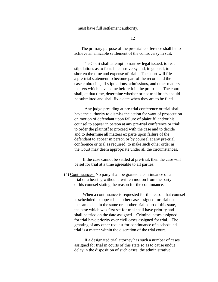must have full settlement authority.

12

 The primary purpose of the pre-trial conference shall be to achieve an amicable settlement of the controversy in suit.

 The Court shall attempt to narrow legal issued, to reach stipulations as to facts in controversy and, in general, to shorten the time and expense of trial. The court will file a pre-trial statement to become part of the record and the case embracing all stipulations, admissions, and other matters matters which have come before it in the pre-trial. The court shall, at that time, determine whether or not trial briefs should be submitted and shall fix a date when they are to be filed.

 Any judge presiding at pre-trial conference or trial shall have the authority to dismiss the action for want of prosecution on motion of defendant upon failure of plaintiff, and/or his counsel to appear in person at any pre-trial conference or trial; to order the plaintiff to proceed with the case and to decide and to determine all matters ex parte upon failure of the defendant to appear in person or by counsel at any pre-trial conference or trial as required; to make such other order as the Court may deem appropriate under all the circumstances.

 If the case cannot be settled at pre-trial, then the case will be set for trial at a time agreeable to all parties.

(4) Continuances: No party shall be granted a continuance of a trial or a hearing without a written motion from the party or his counsel stating the reason for the continuance.

 When a continuance is requested for the reason that counsel is scheduled to appear in another case assigned for trial on the same date in the same or another trial court of this state, the case which was first set for trial shall have priority and shall be tried on the date assigned. Criminal cases assigned for trial have priority over civil cases assigned for trial. The granting of any other request for continuance of a scheduled trial is a matter within the discretion of the trial court.

 If a designated trial attorney has such a number of cases assigned for trial in courts of this state so as to cause undue delay in the disposition of such cases, the administrative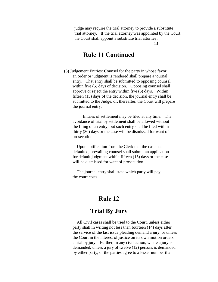judge may require the trial attorney to provide a substitute trial attorney. If the trial attorney was appointed by the Court, the Court shall appoint a substitute trial attorney.

13

# **Rule 11 Continued**

(5) Judgement Entries: Counsel for the party in whose favor an order or judgment is rendered shall prepare a journal entry. That entry shall be submitted to opposing counsel within five (5) days of decision. Opposing counsel shall approve or reject the entry within five (5) days. Within fifteen (15) days of the decision, the journal entry shall be submitted to the Judge, or, thereafter, the Court will prepare the journal entry.

 Entries of settlement may be filed at any time. The avoidance of trial by settlement shall be allowed without the filing of an entry, but such entry shall be filed within thirty (30) days or the case will be dismissed for want of prosecution.

Upon notification from the Clerk that the case has defaulted, prevailing counsel shall submit an application for default judgment within fifteen (15) days or the case will be dismissed for want of prosecution.

The journal entry shall state which party will pay the court costs.

# **Rule 12**

# **Trial By Jury**

All Civil cases shall be tried to the Court, unless either party shall in writing not less than fourteen (14) days after the service of the last issue pleading demand a jury, or unless the Court in the interest of justice on its own motion orders a trial by jury. Further, in any civil action, where a jury is demanded, unless a jury of twelve (12) persons is demanded by either party, or the parties agree to a lesser number than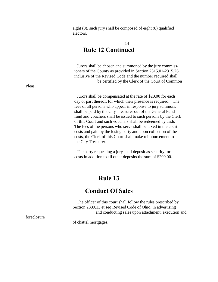eight (8), such jury shall be composed of eight (8) qualified electors.

# 14 **Rule 12 Continued**

 Jurors shall be chosen and summoned by the jury commiss ioners of the County as provided in Section 2315.01-2315.26 inclusive of the Revised Code and the number required shall be certified by the Clerk of the Court of Common

Jurors shall be compensated at the rate of \$20.00 for each day or part thereof, for which their presence is required. The fees of all persons who appear in response to jury summons shall be paid by the City Treasurer out of the General Fund fund and vouchers shall be issued to such persons by the Clerk of this Court and such vouchers shall be redeemed by cash. The fees of the persons who serve shall be taxed in the court costs and paid by the losing party and upon collection of the costs, the Clerk of this Court shall make reimbursement to the City Treasurer.

The party requesting a jury shall deposit as security for costs in addition to all other deposits the sum of \$200.00.

# **Rule 13**

# **Conduct Of Sales**

The officer of this court shall follow the rules prescribed by Section 2339.13 et seq Revised Code of Ohio, in advertising and conducting sales upon attachment, execution and

foreclosure

of chattel mortgages.

Pleas.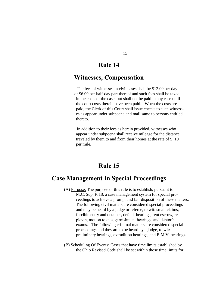# **Witnesses, Compensation**

The fees of witnesses in civil cases shall be \$12.00 per day or \$6.00 per half-day part thereof and such fees shall be taxed in the costs of the case, but shall not be paid in any case until the court costs therein have been paid. When the costs are paid, the Clerk of this Court shall issue checks to such witness es as appear under subpoena and mail same to persons entitled thereto.

In addition to their fees as herein provided, witnesses who appear under subpoena shall receive mileage for the distance traveled by them to and from their homes at the rate of \$ .10 per mile.

# **Rule 15**

# **Case Management In Special Proceedings**

- (A) Purpose: The purpose of this rule is to establish, pursuant to M.C. Sup. R 18, a case management system for special pro ceedings to achieve a prompt and fair disposition of these matters. The following civil matters are considered special proceedings and may be heard by a judge or referee, to wit: small claims, forcible entry and detainer, default hearings, rent escrow, re plevin, motion to cite, garnishment hearings, and debtor's exams. The following criminal matters are considered special proceedings and they are to be heard by a judge, to wit: preliminary hearings, extradition hearings, and B.M.V. hearings.
- (B) Scheduling Of Events: Cases that have time limits established by the Ohio Revised Code shall be set within those time limits for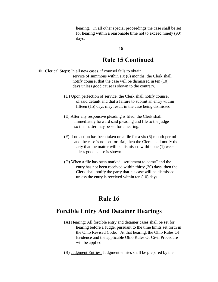hearing. In all other special proceedings the case shall be set for hearing within a reasonable time not to exceed ninety (90) days.

#### 16

# **Rule 15 Continued**

- © Clerical Steps: In all new cases, if counsel fails to obtain service of summons within six (6) months, the Clerk shall notify counsel that the case will be dismissed in ten (10) days unless good cause is shown to the contrary.
	- (D) Upon perfection of service, the Clerk shall notify counsel of said default and that a failure to submit an entry within fifteen (15) days may result in the case being dismissed.
	- (E) After any responsive pleading is filed, the Clerk shall immediately forward said pleading and file to the judge so the matter may be set for a hearing.
	- (F) If no action has been taken on a file for a six (6) month period and the case is not set for trial, then the Clerk shall notify the party that the matter will be dismissed within one (1) week unless good cause is shown.
	- (G) When a file has been marked "settlement to come" and the entry has not been received within thirty (30) days, then the Clerk shall notify the party that his case will be dismissed unless the entry is received within ten (10) days.

# **Rule 16**

# **Forcible Entry And Detainer Hearings**

- (A) Hearing: All forcible entry and detainer cases shall be set for hearing before a Judge, pursuant to the time limits set forth in the Ohio Revised Code. At that hearing, the Ohio Rules Of Evidence and the applicable Ohio Rules Of Civil Procedure will be applied.
- (B) Judgment Entries: Judgment entries shall be prepared by the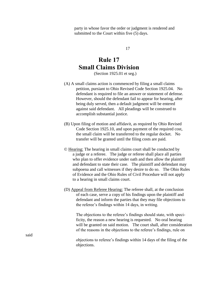party in whose favor the order or judgment is rendered and submitted to the Court within five (5) days.

17

# **Rule 17 Small Claims Division**

(Section 1925.01 et seg.)

- (A) A small claims action is commenced by filing a small claims petition, pursiant to Ohio Revised Code Section 1925.04. No defendant is required to file an answer or statement of defense. However, should the defendant fail to appear for hearing, after being duly served, then a default judgment will be entered against said defendant. All pleadings will be construed to accomplish substantial justice.
- (B) Upon filing of motion and affidavit, as required by Ohio Revised Code Section 1925.10, and upon payment of the required cost, the small claim will be transferred to the regular docket. No transfer will be granted until the filing costs are paid.
- © Hearing: The hearing in small claims court shall be conducted by a judge or a referee. The judge or referee shall place all parties who plan to offer evidence under oath and then allow the plaintiff and defendant to state their case. The plaintiff and defendant may subpoena and call witnesses if they desire to do so. The Ohio Rules of Evidence and the Ohio Rules of Civil Procedure will not apply to a hearing in small claims court.
- (D) Appeal from Referee Hearing: The referee shall, at the conclusion of each case, serve a copy of his findings upon the plaintiff and defendant and inform the parties that they may file objections to the referee's findings within 14 days, in writing.

 The objections to the referee's findings should state, with speci ficity, the reason a new hearing is requested. No oral hearing will be granted on said motion. The court shall, after consideration of the reasons in the objections to the referee's findings, rule on

 objections to referee's findings within 14 days of the filing of the objections.

said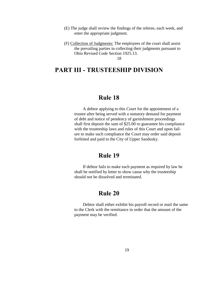- (E) The judge shall review the findings of the referee, each week, and enter the appropriate judgment.
- (F) Collection of Judgments: The employees of the court shall assist the prevailing parties in collecting their judgments pursuant to Ohio Revised Code Section 1925.13.

18

# **PART III - TRUSTEESHIP DIVISION**

### **Rule 18**

 A debtor applying to this Court for the appointment of a trustee after being served with a statutory demand for payment of debt and notice of pendency of garnishment proceedings shall first deposit the sum of \$25.00 ro guarantee his compliance with the trusteeship laws and rules of this Court and upon fail ure to make such compliance the Court may order said deposit forfeited and paid to the City of Upper Sandusky.

# **Rule 19**

 If debtor fails to make each payment as required by law he shall be notified by letter to show cause why the trusteeship should not be dissolved and terminated.

# **Rule 20**

 Debtor shall either exhibit his payroll record or mail the same to the Clerk with the remittance in order that the amount of the payment may be verified.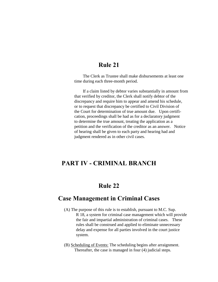The Clerk as Trustee shall make disbursements at least one time during each three-month period.

 If a claim listed by debtor varies substantially in amount from that verified by creditor, the Clerk shall notify debtor of the discrepancy and require him to appear and amend his schedule, or to request that discrepancy be certified to Civil Division of the Court for determination of true amount due. Upon certifi cation, proceedings shall be had as for a declaratory judgment to determine the true amount, treating the application as a petition and the verification of the creditor as an answer. Notice of hearing shall be given to each party and hearing had and judgment rendered as in other civil cases.

# **PART IV - CRIMINAL BRANCH**

# **Rule 22**

# **Case Management in Criminal Cases**

- (A) The purpose of this rule is to establish, pursuant to M.C. Sup. R 18, a system for criminal case management which will provide the fair and impartial administration of criminal cases. These rules shall be construed and applied to eliminate unnecessary delay and expense for all parties involved in the court justice system.
- (B) Scheduling of Events: The scheduling begins after arraignment. Thereafter, the case is managed in four (4) judicial steps.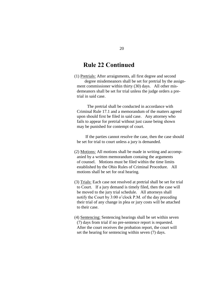# **Rule 22 Continued**

 (1) Pretrials: After arraignments, all first degree and second degree misdemeanors shall be set for pretrial by the assignment commissioner within thirty (30) days. All other misdemeanors shall be set for trial unless the judge orders a pretrial in said case.

 The pretrial shall be conducted in accordance with Criminal Rule 17.1 and a memorandum of the matters agreed upon should first be filed in said case. Any attorney who fails to appear for pretrial without just cause being shown may be punished for contempt of court.

 If the parties cannot resolve the case, then the case should be set for trial to court unless a jury is demanded.

- (2) Motions: All motions shall be made in writing and accompanied by a written memorandum containg the arguments of counsel. Motions must be filed within the time limits established by the Ohio Rules of Criminal Procedure. All motions shall be set for oral hearing.
- (3) Trials: Each case not resolved at pretrial shall be set for trial to Court. If a jury demand is timely filed, then the case will be moved to the jury trial schedule. All attorneys shall notify the Court by 3:00 o'clock P.M. of the day preceding their trial of any change in plea or jury costs will be attached to their case.
- (4) Sentencing: Sentencing hearings shall be set within seven (7) days from trial if no pre-sentence report is requested. After the court receives the probation report, the court will set the hearing for sentencing within seven (7) days.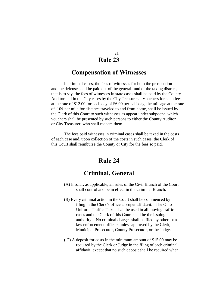### **Compensation of Witnesses**

In criminal cases, the fees of witnesses for both the prosecution and the defense shall be paid out of the general fund of the taxing district, that is to say, the fees of witnesses in state cases shall be paid by the County Auditor and in the City cases by the City Treasurer. Vouchers for such fees at the rate of \$12.00 for each day of \$6.00 per half-day, the mileage at the rate of  $.10¢$  per mile for distance traveled to and from home, shall be issued by the Clerk of this Court to such witnesses as appear under subpoena, which vouchers shall be presented by such persons to either the County Auditor or City Treasurer, who shall redeem them.

The fees paid witnesses in criminal cases shall be taxed in the costs of each case and, upon collection of the costs in such cases, the Clerk of this Court shall reimburse the County or City for the fees so paid.

# **Rule 24**

# **Criminal, General**

- (A) Insofar, as applicable, all rules of the Civil Branch of the Court shall control and be in effect in the Criminal Branch.
- (B) Every criminal action in the Court shall be commenced by filing in the Clerk's office a proper affidavit. The Ohio Uniform Traffic Ticket shall be used in all moving traffic cases and the Clerk of this Court shall be the issuing authority. No criminal charges shall be filed by other than law enforcement officers unless approved by the Clerk, Municipal Prosecutor, County Prosecutor, or the Judge.
- ( C) A deposit for costs in the minimum amount of \$15.00 may be required by the Clerk or Judge in the filing of each criminal affidavit, except that no such deposit shall be required when

21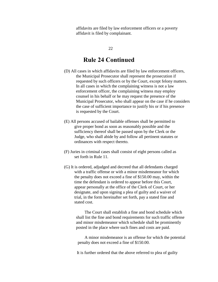affidavits are filed by law enforcement officers or a poverty affidavit is filed by complainant.

#### 22

# **Rule 24 Continued**

- (D) All cases in which affidavits are filed by law enforcement officers, the Municipal Prosecutor shall represent the prosecution if requested by such officers or by the Court, except felony matters. In all cases in which the complaining witness is not a law enforcement officer, the complaining witness may employ counsel in his behalf or he may request the presence of the Municipal Prosecutor, who shall appear on the case if he considers the case of sufficient importance to justify his or if his presence is requested by the Court.
- (E) All persons accused of bailable offenses shall be permitted to give proper bond as soon as reasonably possible and the sufficiency thereof shall be passed upon by the Clerk or the Judge, who shall abide by and follow all pertinent statutes or ordinances with respect thereto.
- (F) Juries in criminal cases shall consist of eight persons called as set forth in Rule 11.
- (G) It is ordered, adjudged and decreed that all defendants charged with a traffic offense or with a minor misdemeanor for which the penalty does not exceed a fine of \$150.00 may, within the time the defendant is ordered to appear before this Court, appear personally at the office of the Clerk of Court, or her designate, and upon signing a plea of guilty and a waiver of trial, in the form hereinafter set forth, pay a stated fine and stated cost.

 The Court shall establish a fine and bond schedule which shall list the fine and bond requirements for such traffic offense and minor misdemeanor which schedule shall be prominently posted in the place where such fines and costs are paid.

 A minor misdemeanor is an offense for which the potential penalty does not exceed a fine of \$150.00.

It is further ordered that the above referred to plea of guilty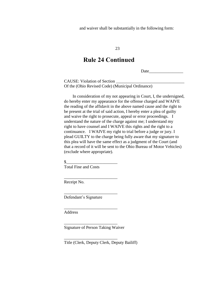and waiver shall be substantially in the following form:

23

# **Rule 24 Continued**

Date  $\Box$ 

CAUSE: Violation of Section \_\_\_\_\_\_\_\_\_\_\_\_\_\_\_\_\_\_\_\_\_\_\_\_\_\_\_\_\_\_\_\_ Of the (Ohio Revised Code) (Municipal Ordinance)

 In consideration of my not appearing in Court, I, the undersigned, do hereby enter my appearance for the offense charged and WAIVE the reading of the affidavit in the above named cause and the right to be present at the trial of said action, I hereby enter a plea of guilty and waive the right to prosecute, appeal or error proceedings. I understand the nature of the charge against me; I understand my right to have counsel and I WAIVE this rights and the right to a continuance. I WAIVE my right to trial before a judge or jury. I plead GUILTY to the charge being fully aware that my signature to this plea will have the same effect as a judgment of the Court (and that a record of it will be sent to the Ohio Bureau of Motor Vehicles) (exclude where appropriate).

 $\mathbb{S}$ Total Fine and Costs

\_\_\_\_\_\_\_\_\_\_\_\_\_\_\_\_\_\_\_\_\_\_\_\_\_

\_\_\_\_\_\_\_\_\_\_\_\_\_\_\_\_\_\_\_\_\_\_\_\_\_

\_\_\_\_\_\_\_\_\_\_\_\_\_\_\_\_\_\_\_\_\_\_\_\_\_

\_\_\_\_\_\_\_\_\_\_\_\_\_\_\_\_\_\_\_\_\_\_\_\_\_

\_\_\_\_\_\_\_\_\_\_\_\_\_\_\_\_\_\_\_\_\_\_\_\_\_

Receipt No.

Defendant's Signature

Address

Signature of Person Taking Waiver

Title (Clerk, Deputy Clerk, Deputy Bailiff)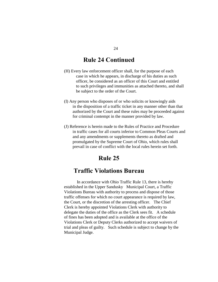# **Rule 24 Continued**

- (H) Every law enforcement officer shall, for the purpose of each case in which he appears, in discharge of his duties as such officer, be considered as an officer of this Court and entitled to such privileges and immunities as attached thereto, and shall be subject to the order of the Court.
- (I) Any person who disposes of or who solicits or knowingly aids in the disposition of a traffic ticket in any manner other than that authorized by the Court and these rules may be proceeded against for criminal contempt in the manner provided by law.
- (J) Reference is herein made to the Rules of Practice and Procedure in traffic cases for all courts inferior to Common Pleas Courts and and any amendments or supplements thereto as drafted and promulgated by the Supreme Court of Ohio, which rules shall prevail in case of conflict with the local rules herein set forth.

### **Rule 25**

# **Traffic Violations Bureau**

 In accordance with Ohio Traffic Rule 13, there is hereby established in the Upper Sandusky Municipal Court, a Traffic Violations Bureau with authority to process and dispose of those traffic offenses for which no court appearance is required by law, the Court, or the discretion of the arresting officer. The Chief Clerk is hereby appointed Violations Clerk with authority to delegate the duties of the office as the Clerk sees fit. A schedule of fines has been adopted and is available at the office of the Violations Clerk or Deputy Clerks authorized to accept waivers of trial and pleas of guilty. Such schedule is subject to change by the Municipal Judge.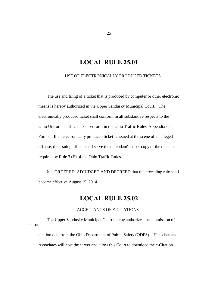# **LOCAL RULE 25.01**

USE OF ELECTRONICALLY PRODUCED TICKETS

 The use and filing of a ticket that is produced by computer or other electronic means is hereby authorized in the Upper Sandusky Municipal Court. The electronically produced ticket shall conform in all substantive respects to the Ohio Uniform Traffic Ticket set forth in the Ohio Traffic Rules' Appendix of Forms. If an electronically produced ticket is issued at the scene of an alleged offense, the issuing officer shall serve the defendant's paper copy of the ticket as required by Rule 3 (E) of the Ohio Traffic Rules.

 It is ORDERED, ADJUDGED AND DECREED that the preceding rule shall become effective August 15, 2014.

# **LOCAL RULE 25.02**

#### ACCEPTANCE OF E-CITATIONS

 The Upper Sandusky Municipal Court hereby authorizes the submission of electronic

citation data from the Ohio Department of Public Safety (ODPS). Henschen and Associates will host the server and allow this Court to download the e-Citation

25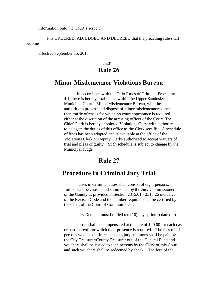information onto the Court's server.

 It is ORDERED, ADJUDGED AND DECREED that the preceding rule shall become

effective September 15, 2015

# 25.01 **Rule 26**

# **Minor Misdemeanor Violations Bureau**

In accordance with the Ohio Rules of Criminal Procedure 4.1, there is hereby established within the Upper Sandusky Municipal Court a Minor Misdemeanor Bureau, with the authority to process and dispose of minor misdemeanors other than traffic offenses for which no court appearance is required either at the discretion of the arresting officer of the Court. The Chief Clerk is hereby appointed Violations Clerk with authority to delegate the duties of this office as the Clerk sees fit. A schedule of fines has been adopted and is available at the office of the Violations Clerk or Deputy Clerks authorized to accept waivers of trial and pleas of guilty. Such schedule is subject to change by the Municipal Judge.

# **Rule 27**

# **Procedure In Criminal Jury Trial**

Juries in Criminal cases shall consist of eight persons. Jurors shall be chosen and summoned by the Jury Commissioners of the County as provided in Section 2315.01 - 2315.26 inclusive of the Revised Code and the number required shall be certified by the Clerk of the Court of Common Pleas.

Jury Demand must be filed ten (10) days prior to date of trial

Jurors shall be compensated at the rate of \$20.00 for each day or part thereof, for which their presence is required. The fees of all persons who appear in response to jury summons shall be paid by the City Treasurer/County Treasurer out of the General Fund and vouchers shall be issued to such persons by the Clerk of this Court and such vouchers shall be redeemed by check. The fees of the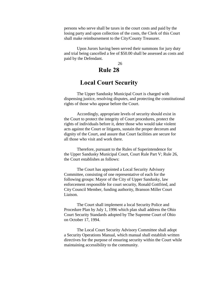persons who serve shall be taxes in the court costs and paid by the losing party and upon collection of the costs, the Clerk of this Court shall make reimbursement to the City/County Treasurer.

Upon Jurors having been served their summons for jury duty and trial being cancelled a fee of \$50.00 shall be assessed as costs and paid by the Defendant.

26

# **Rule 28**

# **Local Court Security**

The Upper Sandusky Municipal Court is charged with dispensing justice, resolving disputes, and protecting the constitutional rights of those who appear before the Court.

Accordingly, appropriate levels of security should exist in the Court to protect the integrity of Court procedures, protect the rights of individuals before it, deter those who would take violent acts against the Court or litigants, sustain the proper decorum and dignity of the Court, and assure that Court facilities are secure for all those who visit and work there.

Therefore, pursuant to the Rules of Superintendence for the Upper Sandusky Municipal Court, Court Rule Part V; Rule 26, the Court establishes as follows:

The Court has appointed a Local Security Advisory Committee, consisting of one representative of each for the following groups: Mayor of the City of Upper Sandusky, law enforcement responsible for court security, Ronald Gottfried, and City Council Member, funding authority, Branson Miller Court Liaison.

The Court shall implement a local Security Police and Procedure Plan by July 1, 1996 which plan shall address the Ohio Court Security Standards adopted by The Supreme Court of Ohio on October 17, 1994.

The Local Court Security Advisory Committee shall adopt a Security Operations Manual, which manual shall establish written directives for the purpose of ensuring security within the Court while maintaining accessibility to the community.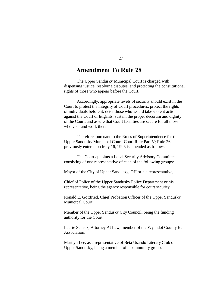# **Amendment To Rule 28**

The Upper Sandusky Municipal Court is charged with dispensing justice, resolving disputes, and protecting the constitutional rights of those who appear before the Court.

Accordingly, appropriate levels of security should exist in the Court to protect the integrity of Court procedures, protect the rights of individuals before it, deter those who would take violent action against the Court or litigants, sustain the proper decorum and dignity of the Court, and assure that Court facilities are secure for all those who visit and work there.

Therefore, pursuant to the Rules of Superintendence for the Upper Sandusky Municipal Court, Court Rule Part V; Rule 26, previously entered on May 16, 1996 is amended as follows:

The Court appoints a Local Security Advisory Committee, consisting of one representative of each of the following groups:

Mayor of the City of Upper Sandusky, OH or his representative,

Chief of Police of the Upper Sandusky Police Department or his representative, being the agency responsible for court security.

Ronald E. Gottfried, Chief Probation Officer of the Upper Sandusky Municipal Court.

Member of the Upper Sandusky City Council, being the funding authority for the Court.

Laurie Scheck, Attorney At Law, member of the Wyandot County Bar Association.

Marilyn Lee, as a representative of Beta Usando Literary Club of Upper Sandusky, being a member of a community group.

27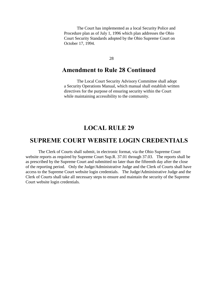The Court has implemented as a local Security Police and Procedure plan as of July 1, 1996 which plan addresses the Ohio Court Security Standards adopted by the Ohio Supreme Court on October 17, 1994.

28

# **Amendment to Rule 28 Continued**

The Local Court Security Advisory Committee shall adopt a Security Operations Manual, which manual shall establish written directives for the purpose of ensuring security within the Court while maintaining accessibility to the community.

# **LOCAL RULE 29**

# **SUPREME COURT WEBSITE LOGIN CREDENTIALS**

The Clerk of Courts shall submit, in electronic format, via the Ohio Supreme Court website reports as required by Supreme Court Sup.R. 37.01 through 37.03. The reports shall be as prescribed by the Supreme Court and submitted no later than the fifteenth day after the close of the reporting period. Only the Judge/Administrative Judge and the Clerk of Courts shall have access to the Supreme Court website login credentials. The Judge/Administrative Judge and the Clerk of Courts shall take all necessary steps to ensure and maintain the security of the Supreme Court website login credentials.